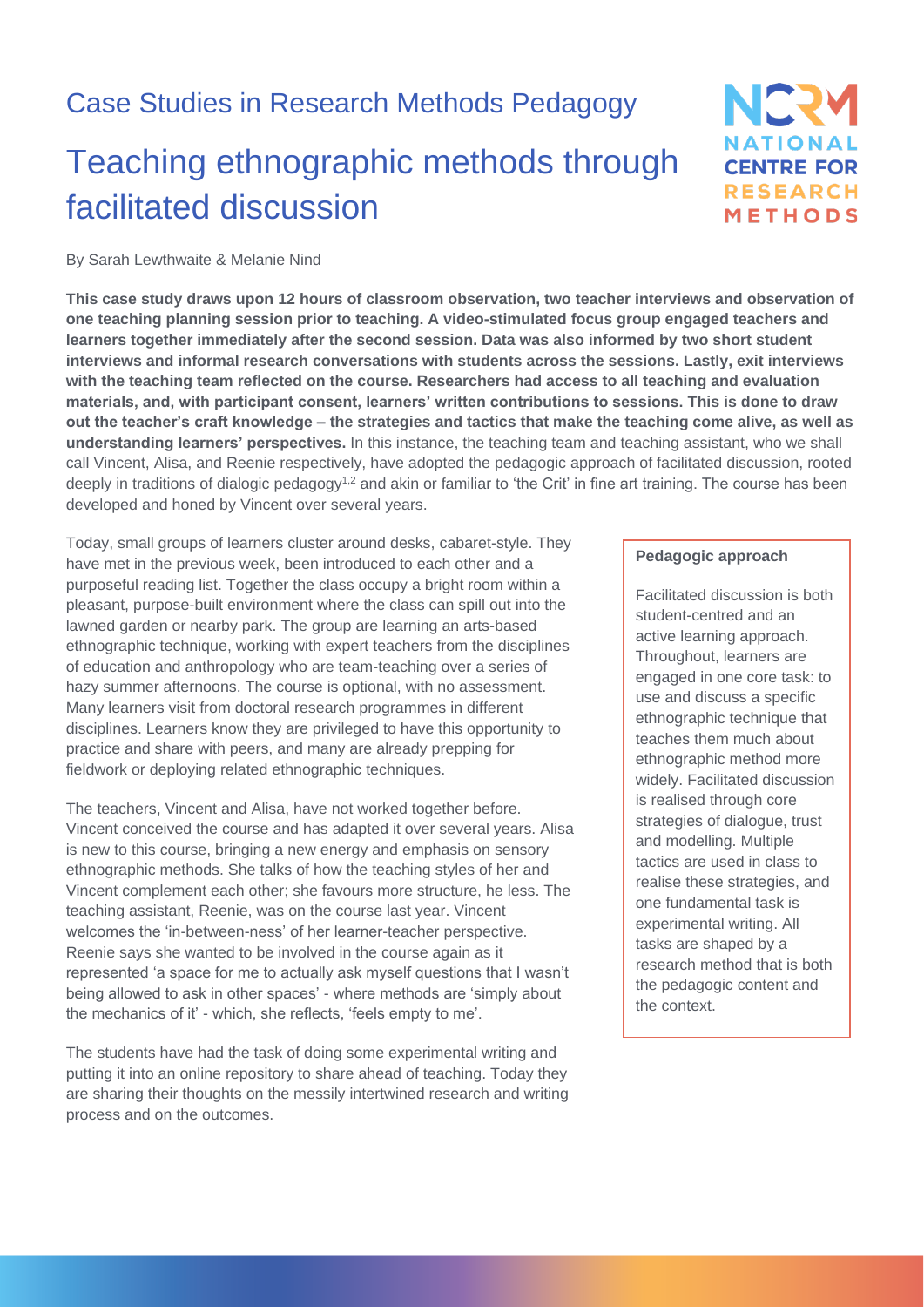### Case Studies in Research Methods Pedagogy

# Teaching ethnographic methods through facilitated discussion

### By Sarah Lewthwaite & Melanie Nind

**This case study draws upon 12 hours of classroom observation, two teacher interviews and observation of one teaching planning session prior to teaching. A video-stimulated focus group engaged teachers and learners together immediately after the second session. Data was also informed by two short student interviews and informal research conversations with students across the sessions. Lastly, exit interviews with the teaching team reflected on the course. Researchers had access to all teaching and evaluation materials, and, with participant consent, learners' written contributions to sessions. This is done to draw out the teacher's craft knowledge – the strategies and tactics that make the teaching come alive, as well as understanding learners' perspectives.** In this instance, the teaching team and teaching assistant, who we shall call Vincent, Alisa, and Reenie respectively, have adopted the pedagogic approach of facilitated discussion, rooted deeply in traditions of dialogic pedagogy<sup>1,2</sup> and akin or familiar to 'the Crit' in fine art training. The course has been developed and honed by Vincent over several years.

Today, small groups of learners cluster around desks, cabaret-style. They have met in the previous week, been introduced to each other and a purposeful reading list. Together the class occupy a bright room within a pleasant, purpose-built environment where the class can spill out into the lawned garden or nearby park. The group are learning an arts-based ethnographic technique, working with expert teachers from the disciplines of education and anthropology who are team-teaching over a series of hazy summer afternoons. The course is optional, with no assessment. Many learners visit from doctoral research programmes in different disciplines. Learners know they are privileged to have this opportunity to practice and share with peers, and many are already prepping for fieldwork or deploying related ethnographic techniques.

The teachers, Vincent and Alisa, have not worked together before. Vincent conceived the course and has adapted it over several years. Alisa is new to this course, bringing a new energy and emphasis on sensory ethnographic methods. She talks of how the teaching styles of her and Vincent complement each other; she favours more structure, he less. The teaching assistant, Reenie, was on the course last year. Vincent welcomes the 'in-between-ness' of her learner-teacher perspective. Reenie says she wanted to be involved in the course again as it represented 'a space for me to actually ask myself questions that I wasn't being allowed to ask in other spaces' - where methods are 'simply about the mechanics of it' - which, she reflects, 'feels empty to me'.

The students have had the task of doing some experimental writing and putting it into an online repository to share ahead of teaching. Today they are sharing their thoughts on the messily intertwined research and writing process and on the outcomes.

#### **Pedagogic approach**

NERY

**NATIONAL CENTRE FOR RESEARCH** METHODS

Facilitated discussion is both student-centred and an active learning approach. Throughout, learners are engaged in one core task: to use and discuss a specific ethnographic technique that teaches them much about ethnographic method more widely. Facilitated discussion is realised through core strategies of dialogue, trust and modelling. Multiple tactics are used in class to realise these strategies, and one fundamental task is experimental writing. All tasks are shaped by a research method that is both the pedagogic content and the context.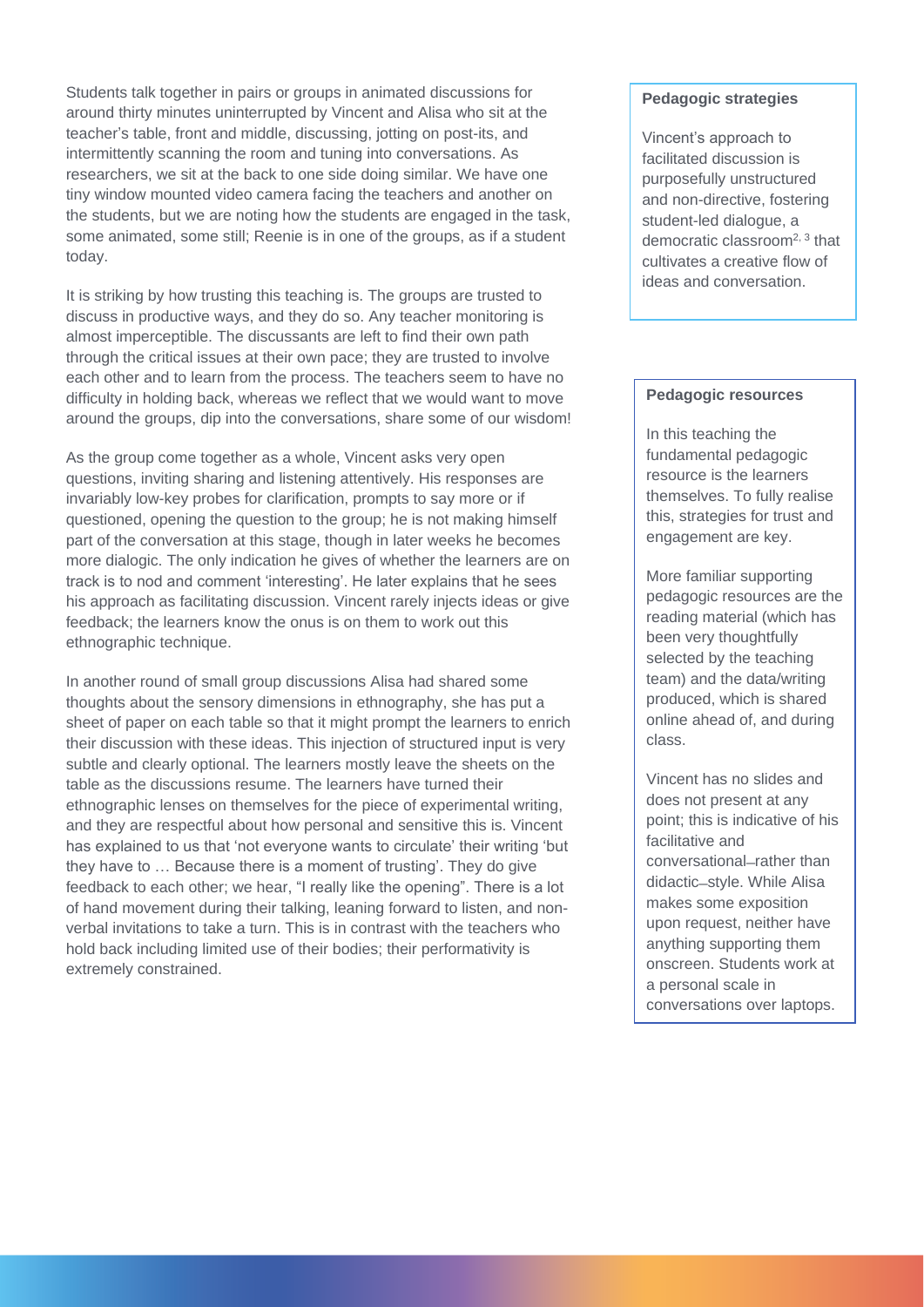Students talk together in pairs or groups in animated discussions for around thirty minutes uninterrupted by Vincent and Alisa who sit at the teacher's table, front and middle, discussing, jotting on post-its, and intermittently scanning the room and tuning into conversations. As researchers, we sit at the back to one side doing similar. We have one tiny window mounted video camera facing the teachers and another on the students, but we are noting how the students are engaged in the task, some animated, some still; Reenie is in one of the groups, as if a student today.

It is striking by how trusting this teaching is. The groups are trusted to discuss in productive ways, and they do so. Any teacher monitoring is almost imperceptible. The discussants are left to find their own path through the critical issues at their own pace; they are trusted to involve each other and to learn from the process. The teachers seem to have no difficulty in holding back, whereas we reflect that we would want to move around the groups, dip into the conversations, share some of our wisdom!

As the group come together as a whole, Vincent asks very open questions, inviting sharing and listening attentively. His responses are invariably low-key probes for clarification, prompts to say more or if questioned, opening the question to the group; he is not making himself part of the conversation at this stage, though in later weeks he becomes more dialogic. The only indication he gives of whether the learners are on track is to nod and comment 'interesting'. He later explains that he sees his approach as facilitating discussion. Vincent rarely injects ideas or give feedback; the learners know the onus is on them to work out this ethnographic technique.

In another round of small group discussions Alisa had shared some thoughts about the sensory dimensions in ethnography, she has put a sheet of paper on each table so that it might prompt the learners to enrich their discussion with these ideas. This injection of structured input is very subtle and clearly optional. The learners mostly leave the sheets on the table as the discussions resume. The learners have turned their ethnographic lenses on themselves for the piece of experimental writing, and they are respectful about how personal and sensitive this is. Vincent has explained to us that 'not everyone wants to circulate' their writing 'but they have to … Because there is a moment of trusting'. They do give feedback to each other; we hear, "I really like the opening". There is a lot of hand movement during their talking, leaning forward to listen, and nonverbal invitations to take a turn. This is in contrast with the teachers who hold back including limited use of their bodies; their performativity is extremely constrained.

#### **Pedagogic strategies**

Vincent's approach to facilitated discussion is purposefully unstructured and non-directive, fostering student-led dialogue, a democratic classroom2, 3 that cultivates a creative flow of ideas and conversation.

#### **Pedagogic resources**

In this teaching the fundamental pedagogic resource is the learners themselves. To fully realise this, strategies for trust and engagement are key.

More familiar supporting pedagogic resources are the reading material (which has been very thoughtfully selected by the teaching team) and the data/writing produced, which is shared online ahead of, and during class.

Vincent has no slides and does not present at any point; this is indicative of his facilitative and conversational-rather than didactic-style. While Alisa makes some exposition upon request, neither have anything supporting them onscreen. Students work at a personal scale in conversations over laptops.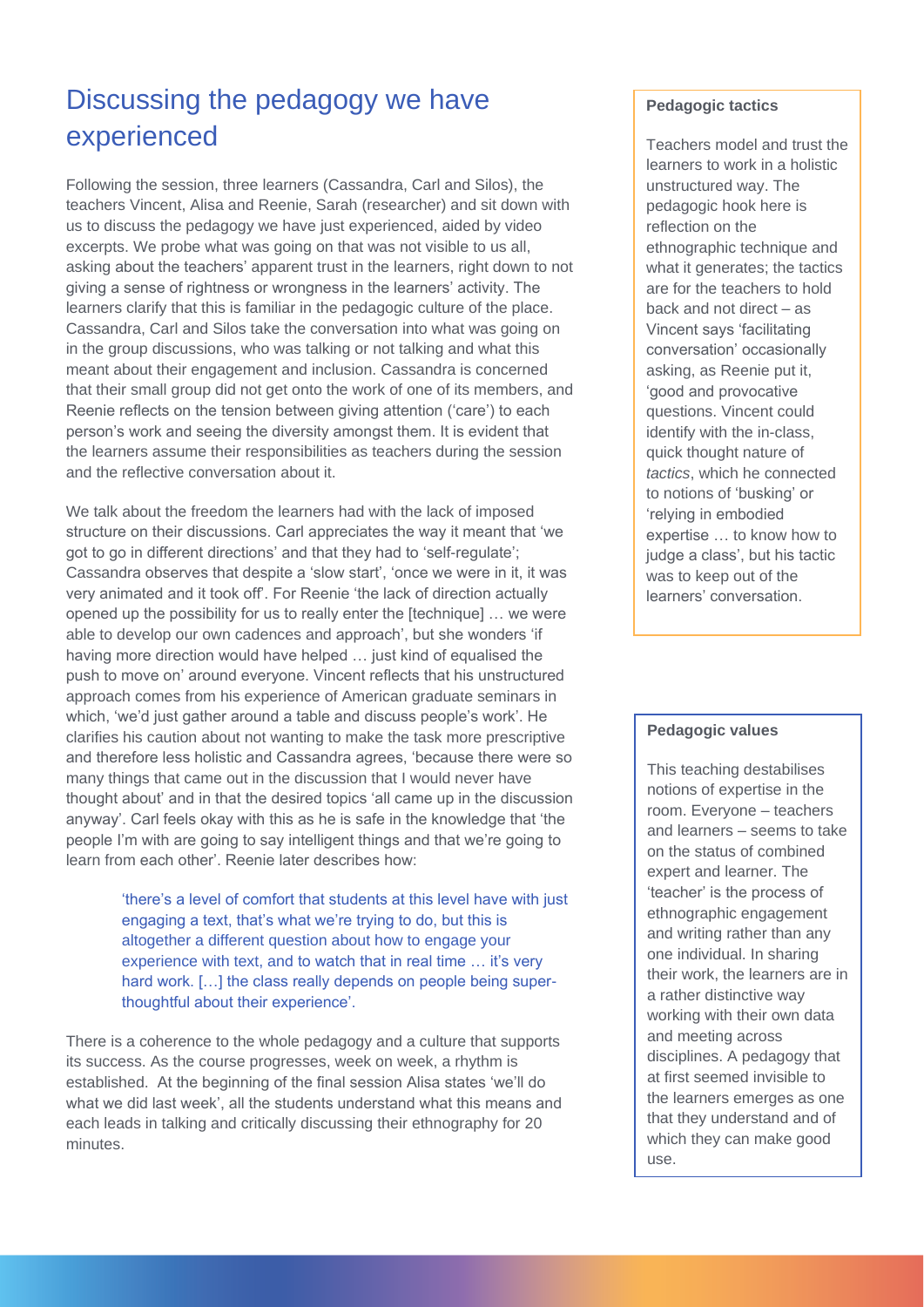## Discussing the pedagogy we have experienced

Following the session, three learners (Cassandra, Carl and Silos), the teachers Vincent, Alisa and Reenie, Sarah (researcher) and sit down with us to discuss the pedagogy we have just experienced, aided by video excerpts. We probe what was going on that was not visible to us all, asking about the teachers' apparent trust in the learners, right down to not giving a sense of rightness or wrongness in the learners' activity. The learners clarify that this is familiar in the pedagogic culture of the place. Cassandra, Carl and Silos take the conversation into what was going on in the group discussions, who was talking or not talking and what this meant about their engagement and inclusion. Cassandra is concerned that their small group did not get onto the work of one of its members, and Reenie reflects on the tension between giving attention ('care') to each person's work and seeing the diversity amongst them. It is evident that the learners assume their responsibilities as teachers during the session and the reflective conversation about it.

We talk about the freedom the learners had with the lack of imposed structure on their discussions. Carl appreciates the way it meant that 'we got to go in different directions' and that they had to 'self-regulate'; Cassandra observes that despite a 'slow start', 'once we were in it, it was very animated and it took off'. For Reenie 'the lack of direction actually opened up the possibility for us to really enter the [technique] … we were able to develop our own cadences and approach', but she wonders 'if having more direction would have helped ... just kind of equalised the push to move on' around everyone. Vincent reflects that his unstructured approach comes from his experience of American graduate seminars in which, 'we'd just gather around a table and discuss people's work'. He clarifies his caution about not wanting to make the task more prescriptive and therefore less holistic and Cassandra agrees, 'because there were so many things that came out in the discussion that I would never have thought about' and in that the desired topics 'all came up in the discussion anyway'. Carl feels okay with this as he is safe in the knowledge that 'the people I'm with are going to say intelligent things and that we're going to learn from each other'. Reenie later describes how:

> 'there's a level of comfort that students at this level have with just engaging a text, that's what we're trying to do, but this is altogether a different question about how to engage your experience with text, and to watch that in real time … it's very hard work. […] the class really depends on people being superthoughtful about their experience'.

There is a coherence to the whole pedagogy and a culture that supports its success. As the course progresses, week on week, a rhythm is established. At the beginning of the final session Alisa states 'we'll do what we did last week', all the students understand what this means and each leads in talking and critically discussing their ethnography for 20 minutes.

#### **Pedagogic tactics**

Teachers model and trust the learners to work in a holistic unstructured way. The pedagogic hook here is reflection on the ethnographic technique and what it generates; the tactics are for the teachers to hold back and not direct – as Vincent says 'facilitating conversation' occasionally asking, as Reenie put it, 'good and provocative questions. Vincent could identify with the in-class, quick thought nature of *tactics*, which he connected to notions of 'busking' or 'relying in embodied expertise … to know how to judge a class', but his tactic was to keep out of the learners' conversation.

#### **Pedagogic values**

This teaching destabilises notions of expertise in the room. Everyone – teachers and learners – seems to take on the status of combined expert and learner. The 'teacher' is the process of ethnographic engagement and writing rather than any one individual. In sharing their work, the learners are in a rather distinctive way working with their own data and meeting across disciplines. A pedagogy that at first seemed invisible to the learners emerges as one that they understand and of which they can make good use.